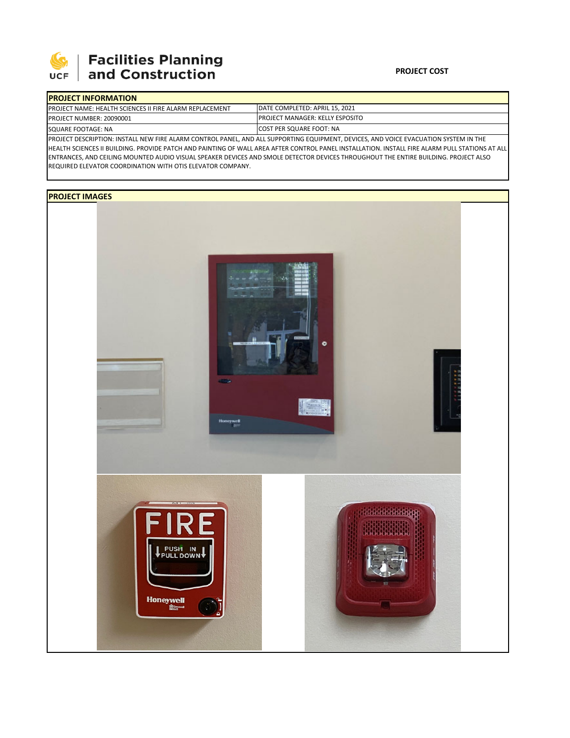

# **Facilities Planning<br>and Construction**

### **PROJECT COST**

|                                                                                                                                                                                                                                                                                    | <b>IPROJECT INFORMATION</b>                                     |                                                                             |  |  |  |  |  |
|------------------------------------------------------------------------------------------------------------------------------------------------------------------------------------------------------------------------------------------------------------------------------------|-----------------------------------------------------------------|-----------------------------------------------------------------------------|--|--|--|--|--|
|                                                                                                                                                                                                                                                                                    | <b>IPROJECT NAME: HEALTH SCIENCES II FIRE ALARM REPLACEMENT</b> | DATE COMPLETED: APRIL 15, 2021                                              |  |  |  |  |  |
|                                                                                                                                                                                                                                                                                    | <b>PROJECT NUMBER: 20090001</b>                                 | <b>IPROJECT MANAGER: KELLY ESPOSITO</b><br><b>ICOST PER SQUARE FOOT: NA</b> |  |  |  |  |  |
|                                                                                                                                                                                                                                                                                    | SQUARE FOOTAGE: NA                                              |                                                                             |  |  |  |  |  |
| PROJECT DESCRIPTION: INSTALL NEW FIRE ALARM CONTROL PANEL, AND ALL SUPPORTING EQUIPMENT, DEVICES, AND VOICE EVACUATION SYSTEM IN THE<br>ULEALTH COLEMARS HISHINGHO BROUGE BATCH AND BAINTING OF WALL AREA AFTER CONTROL BANEL WIGTALLATION INCTALL FIRE ALABA BULL CTATIONS AT ALL |                                                                 |                                                                             |  |  |  |  |  |

HEALTH SCIENCES II BUILDING. PROVIDE PATCH AND PAINTING OF WALL AREA AFTER CONTROL PANEL INSTALLATION. INSTALL FIRE ALARM PULL STATIONS AT ALL ENTRANCES, AND CEILING MOUNTED AUDIO VISUAL SPEAKER DEVICES AND SMOLE DETECTOR DEVICES THROUGHOUT THE ENTIRE BUILDING. PROJECT ALSO REQUIRED ELEVATOR COORDINATION WITH OTIS ELEVATOR COMPANY.

## **PROJECT IMAGES**